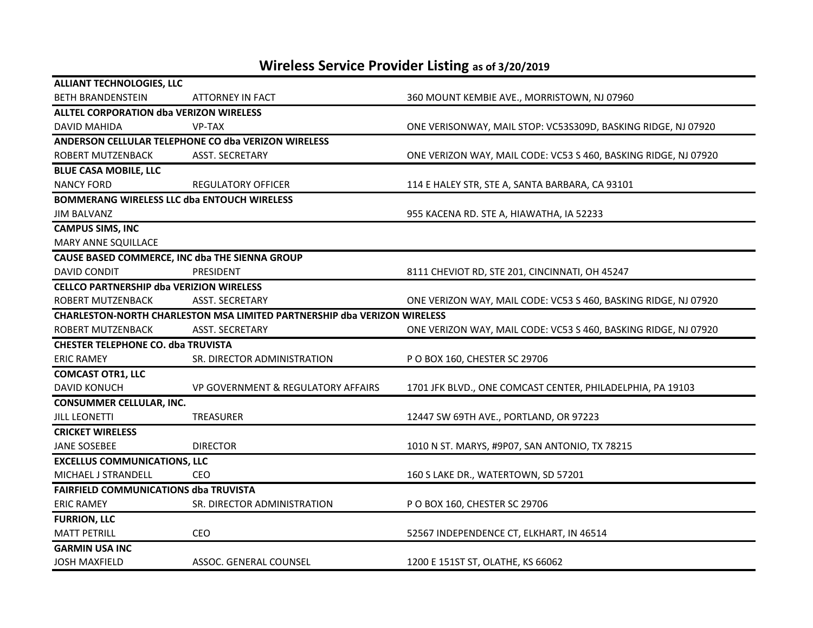## **Wireless Service Provider Listing as of 3/20/2019**

| <b>ALLIANT TECHNOLOGIES, LLC</b>                |                                                                                 |                                                                 |
|-------------------------------------------------|---------------------------------------------------------------------------------|-----------------------------------------------------------------|
| <b>BETH BRANDENSTEIN</b>                        | ATTORNEY IN FACT                                                                | 360 MOUNT KEMBIE AVE., MORRISTOWN, NJ 07960                     |
| <b>ALLTEL CORPORATION dba VERIZON WIRELESS</b>  |                                                                                 |                                                                 |
| <b>DAVID MAHIDA</b>                             | <b>VP-TAX</b>                                                                   | ONE VERISONWAY, MAIL STOP: VC53S309D, BASKING RIDGE, NJ 07920   |
|                                                 | ANDERSON CELLULAR TELEPHONE CO dba VERIZON WIRELESS                             |                                                                 |
| ROBERT MUTZENBACK                               | ASST. SECRETARY                                                                 | ONE VERIZON WAY, MAIL CODE: VC53 S 460, BASKING RIDGE, NJ 07920 |
| <b>BLUE CASA MOBILE, LLC</b>                    |                                                                                 |                                                                 |
| <b>NANCY FORD</b>                               | <b>REGULATORY OFFICER</b>                                                       | 114 E HALEY STR, STE A, SANTA BARBARA, CA 93101                 |
|                                                 | <b>BOMMERANG WIRELESS LLC dba ENTOUCH WIRELESS</b>                              |                                                                 |
| <b>JIM BALVANZ</b>                              |                                                                                 | 955 KACENA RD. STE A, HIAWATHA, IA 52233                        |
| <b>CAMPUS SIMS, INC</b>                         |                                                                                 |                                                                 |
| MARY ANNE SQUILLACE                             |                                                                                 |                                                                 |
|                                                 | CAUSE BASED COMMERCE, INC dba THE SIENNA GROUP                                  |                                                                 |
| DAVID CONDIT                                    | PRESIDENT                                                                       | 8111 CHEVIOT RD, STE 201, CINCINNATI, OH 45247                  |
| <b>CELLCO PARTNERSHIP dba VERIZION WIRELESS</b> |                                                                                 |                                                                 |
| ROBERT MUTZENBACK                               | <b>ASST. SECRETARY</b>                                                          | ONE VERIZON WAY, MAIL CODE: VC53 S 460, BASKING RIDGE, NJ 07920 |
|                                                 | <b>CHARLESTON-NORTH CHARLESTON MSA LIMITED PARTNERSHIP dba VERIZON WIRELESS</b> |                                                                 |
| ROBERT MUTZENBACK                               | <b>ASST. SECRETARY</b>                                                          | ONE VERIZON WAY, MAIL CODE: VC53 S 460, BASKING RIDGE, NJ 07920 |
| <b>CHESTER TELEPHONE CO. dba TRUVISTA</b>       |                                                                                 |                                                                 |
| <b>ERIC RAMEY</b>                               | SR. DIRECTOR ADMINISTRATION                                                     | P O BOX 160, CHESTER SC 29706                                   |
| <b>COMCAST OTR1, LLC</b>                        |                                                                                 |                                                                 |
| <b>DAVID KONUCH</b>                             | VP GOVERNMENT & REGULATORY AFFAIRS                                              | 1701 JFK BLVD., ONE COMCAST CENTER, PHILADELPHIA, PA 19103      |
| <b>CONSUMMER CELLULAR, INC.</b>                 |                                                                                 |                                                                 |
| <b>JILL LEONETTI</b>                            | <b>TREASURER</b>                                                                | 12447 SW 69TH AVE., PORTLAND, OR 97223                          |
| <b>CRICKET WIRELESS</b>                         |                                                                                 |                                                                 |
| <b>JANE SOSEBEE</b>                             | <b>DIRECTOR</b>                                                                 | 1010 N ST. MARYS, #9P07, SAN ANTONIO, TX 78215                  |
| <b>EXCELLUS COMMUNICATIONS, LLC</b>             |                                                                                 |                                                                 |
| MICHAEL J STRANDELL                             | <b>CEO</b>                                                                      | 160 S LAKE DR., WATERTOWN, SD 57201                             |
| <b>FAIRFIELD COMMUNICATIONS dba TRUVISTA</b>    |                                                                                 |                                                                 |
| <b>ERIC RAMEY</b>                               | SR. DIRECTOR ADMINISTRATION                                                     | P O BOX 160, CHESTER SC 29706                                   |
| <b>FURRION, LLC</b>                             |                                                                                 |                                                                 |
| <b>MATT PETRILL</b>                             | CEO                                                                             | 52567 INDEPENDENCE CT, ELKHART, IN 46514                        |
| <b>GARMIN USA INC</b>                           |                                                                                 |                                                                 |
| JOSH MAXFIELD                                   | ASSOC. GENERAL COUNSEL                                                          | 1200 E 151ST ST, OLATHE, KS 66062                               |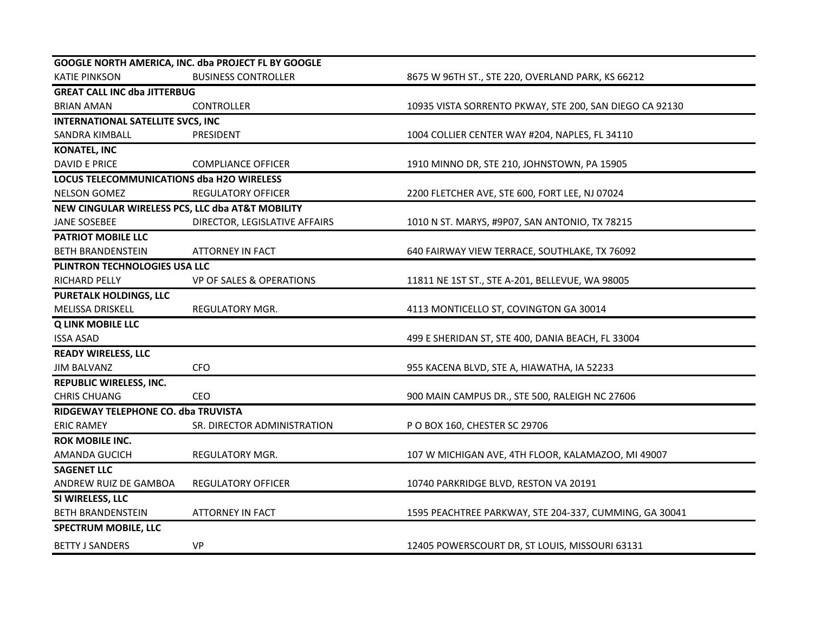| GOOGLE NORTH AMERICA, INC. dba PROJECT FL BY GOOGLE |                                     |                                                         |  |  |
|-----------------------------------------------------|-------------------------------------|---------------------------------------------------------|--|--|
| <b>KATIE PINKSON</b>                                | <b>BUSINESS CONTROLLER</b>          | 8675 W 96TH ST., STE 220, OVERLAND PARK, KS 66212       |  |  |
| <b>GREAT CALL INC dba JITTERBUG</b>                 |                                     |                                                         |  |  |
| <b>BRIAN AMAN</b>                                   | CONTROLLER                          | 10935 VISTA SORRENTO PKWAY, STE 200, SAN DIEGO CA 92130 |  |  |
| <b>INTERNATIONAL SATELLITE SVCS, INC</b>            |                                     |                                                         |  |  |
| SANDRA KIMBALL                                      | PRESIDENT                           | 1004 COLLIER CENTER WAY #204, NAPLES, FL 34110          |  |  |
| <b>KONATEL, INC</b>                                 |                                     |                                                         |  |  |
| <b>DAVID E PRICE</b>                                | <b>COMPLIANCE OFFICER</b>           | 1910 MINNO DR, STE 210, JOHNSTOWN, PA 15905             |  |  |
| <b>LOCUS TELECOMMUNICATIONS dba H2O WIRELESS</b>    |                                     |                                                         |  |  |
| <b>NELSON GOMEZ</b>                                 | <b>REGULATORY OFFICER</b>           | 2200 FLETCHER AVE, STE 600, FORT LEE, NJ 07024          |  |  |
| NEW CINGULAR WIRELESS PCS, LLC dba AT&T MOBILITY    |                                     |                                                         |  |  |
| <b>JANE SOSEBEE</b>                                 | DIRECTOR, LEGISLATIVE AFFAIRS       | 1010 N ST. MARYS, #9P07, SAN ANTONIO, TX 78215          |  |  |
| <b>PATRIOT MOBILE LLC</b>                           |                                     |                                                         |  |  |
| <b>BETH BRANDENSTEIN</b>                            | <b>ATTORNEY IN FACT</b>             | 640 FAIRWAY VIEW TERRACE, SOUTHLAKE, TX 76092           |  |  |
| PLINTRON TECHNOLOGIES USA LLC                       |                                     |                                                         |  |  |
| RICHARD PELLY                                       | <b>VP OF SALES &amp; OPERATIONS</b> | 11811 NE 1ST ST., STE A-201, BELLEVUE, WA 98005         |  |  |
| <b>PURETALK HOLDINGS, LLC</b>                       |                                     |                                                         |  |  |
| MELISSA DRISKELL                                    | REGULATORY MGR.                     | 4113 MONTICELLO ST, COVINGTON GA 30014                  |  |  |
| <b>Q LINK MOBILE LLC</b>                            |                                     |                                                         |  |  |
| <b>ISSA ASAD</b>                                    |                                     | 499 E SHERIDAN ST, STE 400, DANIA BEACH, FL 33004       |  |  |
| <b>READY WIRELESS, LLC</b>                          |                                     |                                                         |  |  |
| <b>JIM BALVANZ</b>                                  | <b>CFO</b>                          | 955 KACENA BLVD, STE A, HIAWATHA, IA 52233              |  |  |
| <b>REPUBLIC WIRELESS, INC.</b>                      |                                     |                                                         |  |  |
| <b>CHRIS CHUANG</b>                                 | CEO                                 | 900 MAIN CAMPUS DR., STE 500, RALEIGH NC 27606          |  |  |
| RIDGEWAY TELEPHONE CO. dba TRUVISTA                 |                                     |                                                         |  |  |
| <b>ERIC RAMEY</b>                                   | SR. DIRECTOR ADMINISTRATION         | P O BOX 160, CHESTER SC 29706                           |  |  |
| <b>ROK MOBILE INC.</b>                              |                                     |                                                         |  |  |
| AMANDA GUCICH                                       | REGULATORY MGR.                     | 107 W MICHIGAN AVE, 4TH FLOOR, KALAMAZOO, MI 49007      |  |  |
| <b>SAGENET LLC</b>                                  |                                     |                                                         |  |  |
| ANDREW RUIZ DE GAMBOA                               | <b>REGULATORY OFFICER</b>           | 10740 PARKRIDGE BLVD, RESTON VA 20191                   |  |  |
| SI WIRELESS, LLC                                    |                                     |                                                         |  |  |
| <b>BETH BRANDENSTEIN</b>                            | <b>ATTORNEY IN FACT</b>             | 1595 PEACHTREE PARKWAY, STE 204-337, CUMMING, GA 30041  |  |  |
| <b>SPECTRUM MOBILE, LLC</b>                         |                                     |                                                         |  |  |
| <b>BETTY J SANDERS</b>                              | <b>VP</b>                           | 12405 POWERSCOURT DR, ST LOUIS, MISSOURI 63131          |  |  |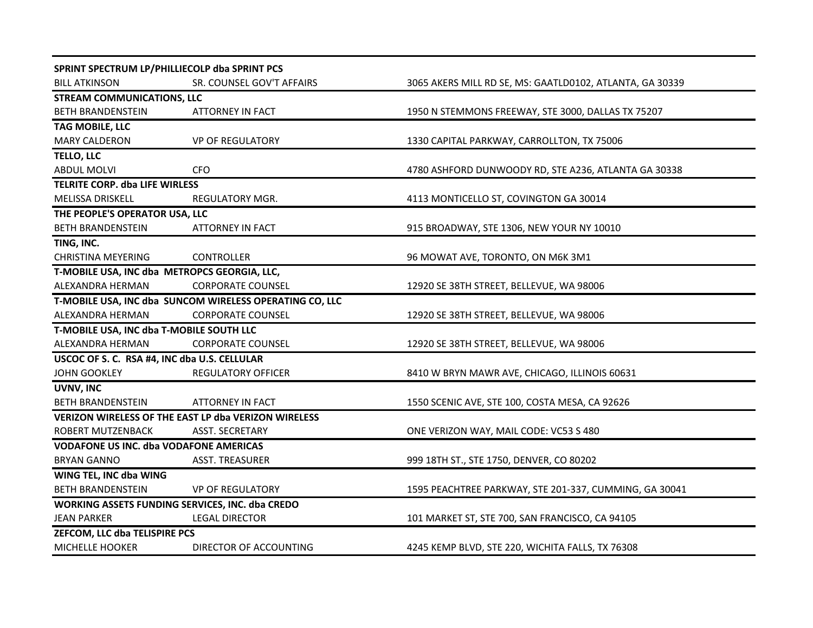| SPRINT SPECTRUM LP/PHILLIECOLP dba SPRINT PCS               |                                                         |                                                          |  |  |
|-------------------------------------------------------------|---------------------------------------------------------|----------------------------------------------------------|--|--|
| <b>BILL ATKINSON</b>                                        | SR. COUNSEL GOV'T AFFAIRS                               | 3065 AKERS MILL RD SE, MS: GAATLD0102, ATLANTA, GA 30339 |  |  |
| <b>STREAM COMMUNICATIONS, LLC</b>                           |                                                         |                                                          |  |  |
| <b>BETH BRANDENSTEIN</b>                                    | <b>ATTORNEY IN FACT</b>                                 | 1950 N STEMMONS FREEWAY, STE 3000, DALLAS TX 75207       |  |  |
| TAG MOBILE, LLC                                             |                                                         |                                                          |  |  |
| <b>MARY CALDERON</b>                                        | <b>VP OF REGULATORY</b>                                 | 1330 CAPITAL PARKWAY, CARROLLTON, TX 75006               |  |  |
| <b>TELLO, LLC</b>                                           |                                                         |                                                          |  |  |
| <b>ABDUL MOLVI</b>                                          | <b>CFO</b>                                              | 4780 ASHFORD DUNWOODY RD, STE A236, ATLANTA GA 30338     |  |  |
| TELRITE CORP. dba LIFE WIRLESS                              |                                                         |                                                          |  |  |
| <b>MELISSA DRISKELL</b>                                     | REGULATORY MGR.                                         | 4113 MONTICELLO ST, COVINGTON GA 30014                   |  |  |
| THE PEOPLE'S OPERATOR USA, LLC                              |                                                         |                                                          |  |  |
| <b>BETH BRANDENSTEIN</b>                                    | <b>ATTORNEY IN FACT</b>                                 | 915 BROADWAY, STE 1306, NEW YOUR NY 10010                |  |  |
| TING, INC.                                                  |                                                         |                                                          |  |  |
| <b>CHRISTINA MEYERING</b>                                   | <b>CONTROLLER</b>                                       | 96 MOWAT AVE, TORONTO, ON M6K 3M1                        |  |  |
| T-MOBILE USA, INC dba METROPCS GEORGIA, LLC,                |                                                         |                                                          |  |  |
| ALEXANDRA HERMAN                                            | <b>CORPORATE COUNSEL</b>                                | 12920 SE 38TH STREET, BELLEVUE, WA 98006                 |  |  |
|                                                             | T-MOBILE USA, INC dba SUNCOM WIRELESS OPERATING CO, LLC |                                                          |  |  |
| ALEXANDRA HERMAN                                            | <b>CORPORATE COUNSEL</b>                                | 12920 SE 38TH STREET, BELLEVUE, WA 98006                 |  |  |
| T-MOBILE USA, INC dba T-MOBILE SOUTH LLC                    |                                                         |                                                          |  |  |
| ALEXANDRA HERMAN                                            | <b>CORPORATE COUNSEL</b>                                | 12920 SE 38TH STREET, BELLEVUE, WA 98006                 |  |  |
| USCOC OF S. C. RSA #4, INC dba U.S. CELLULAR                |                                                         |                                                          |  |  |
| <b>JOHN GOOKLEY</b>                                         | <b>REGULATORY OFFICER</b>                               | 8410 W BRYN MAWR AVE, CHICAGO, ILLINOIS 60631            |  |  |
| UVNV, INC                                                   |                                                         |                                                          |  |  |
| <b>BETH BRANDENSTEIN</b>                                    | <b>ATTORNEY IN FACT</b>                                 | 1550 SCENIC AVE, STE 100, COSTA MESA, CA 92626           |  |  |
| <b>VERIZON WIRELESS OF THE EAST LP dba VERIZON WIRELESS</b> |                                                         |                                                          |  |  |
| ROBERT MUTZENBACK                                           | ASST. SECRETARY                                         | ONE VERIZON WAY, MAIL CODE: VC53 S 480                   |  |  |
| VODAFONE US INC. dba VODAFONE AMERICAS                      |                                                         |                                                          |  |  |
| <b>BRYAN GANNO</b>                                          | <b>ASST. TREASURER</b>                                  | 999 18TH ST., STE 1750, DENVER, CO 80202                 |  |  |
| WING TEL, INC dba WING                                      |                                                         |                                                          |  |  |
| <b>BETH BRANDENSTEIN</b>                                    | <b>VP OF REGULATORY</b>                                 | 1595 PEACHTREE PARKWAY, STE 201-337, CUMMING, GA 30041   |  |  |
| WORKING ASSETS FUNDING SERVICES, INC. dba CREDO             |                                                         |                                                          |  |  |
| <b>JEAN PARKER</b>                                          | <b>LEGAL DIRECTOR</b>                                   | 101 MARKET ST, STE 700, SAN FRANCISCO, CA 94105          |  |  |
| ZEFCOM, LLC dba TELISPIRE PCS                               |                                                         |                                                          |  |  |
| MICHELLE HOOKER                                             | DIRECTOR OF ACCOUNTING                                  | 4245 KEMP BLVD, STE 220, WICHITA FALLS, TX 76308         |  |  |